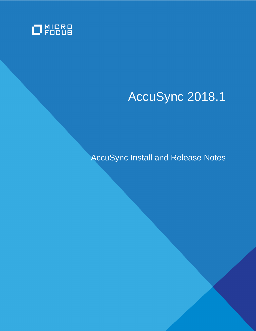

# AccuSync 2018.1

AccuSync Install and Release Notes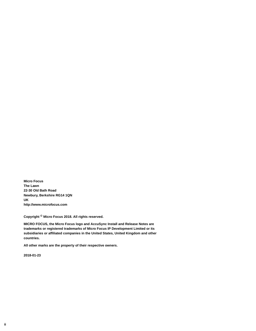**Micro Focus The Lawn 22-30 Old Bath Road Newbury, Berkshire RG14 1QN UK http://www.microfocus.com**

**Copyright © Micro Focus 2018. All rights reserved.**

**MICRO FOCUS, the Micro Focus logo and AccuSync Install and Release Notes are trademarks or registered trademarks of Micro Focus IP Development Limited or its subsidiaries or affiliated companies in the United States, United Kingdom and other countries.**

**All other marks are the property of their respective owners.**

**2018-01-23**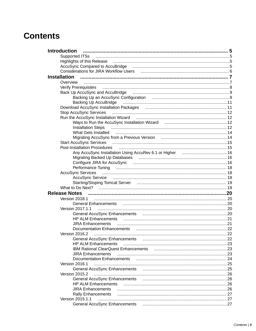# **Contents**

| <b>Introduction</b>                                                                                                                                                                                                            |      |
|--------------------------------------------------------------------------------------------------------------------------------------------------------------------------------------------------------------------------------|------|
| <b>Supported ITSs</b>                                                                                                                                                                                                          |      |
| Highlights of this Release                                                                                                                                                                                                     |      |
| AccuSync Compared to AccuBridge (and accurate the contract of the state of the state of the state of the state                                                                                                                 |      |
|                                                                                                                                                                                                                                |      |
| <b>Installation</b>                                                                                                                                                                                                            |      |
| Overview                                                                                                                                                                                                                       |      |
| <b>Verify Prerequisites</b>                                                                                                                                                                                                    |      |
| Back Up AccuSync and AccuBridge (and the material contract material contracts) 9                                                                                                                                               |      |
|                                                                                                                                                                                                                                |      |
| Backing Up AccuBridge                                                                                                                                                                                                          |      |
|                                                                                                                                                                                                                                |      |
|                                                                                                                                                                                                                                |      |
| Stop AccuSync Services (and the content of the content of the content of the content of the content of the content of the content of the content of the content of the content of the content of the content of the content of |      |
|                                                                                                                                                                                                                                |      |
|                                                                                                                                                                                                                                |      |
| Installation Steps (and the continuum control of the control of the control of the control of the control of t                                                                                                                 |      |
| What Gets Installed                                                                                                                                                                                                            |      |
| Migrating AccuSync from a Previous Version mature material material and 14                                                                                                                                                     |      |
| <b>Start AccuSync Services</b>                                                                                                                                                                                                 |      |
| <b>Post-Installation Procedures</b>                                                                                                                                                                                            |      |
|                                                                                                                                                                                                                                |      |
|                                                                                                                                                                                                                                |      |
|                                                                                                                                                                                                                                |      |
|                                                                                                                                                                                                                                |      |
| <b>AccuSync Services</b>                                                                                                                                                                                                       |      |
| AccuSync Service members and the control of the service of the service of the service of the service of the service of the service of the service of the service of the service of the service of the service of the service o |      |
|                                                                                                                                                                                                                                |      |
|                                                                                                                                                                                                                                |      |
| <b>Release Notes</b>                                                                                                                                                                                                           |      |
| Version 2018.1                                                                                                                                                                                                                 |      |
| <b>General Enhancements</b>                                                                                                                                                                                                    |      |
| Version 2017.1.1                                                                                                                                                                                                               |      |
| General AccuSync Enhancements (and according to the accuse of the contract of the contract of the contract of                                                                                                                  |      |
| <b>HP ALM Enhancements</b>                                                                                                                                                                                                     |      |
|                                                                                                                                                                                                                                |      |
| <b>JIRA Enhancements</b>                                                                                                                                                                                                       |      |
| Documentation Enhancements                                                                                                                                                                                                     |      |
| Version 2016.2                                                                                                                                                                                                                 |      |
|                                                                                                                                                                                                                                |      |
| <b>HP ALM Enhancements</b>                                                                                                                                                                                                     |      |
| <b>IBM Rational ClearQuest Enhancements</b>                                                                                                                                                                                    |      |
| <b>JIRA Enhancements</b>                                                                                                                                                                                                       |      |
| Documentation Enhancements                                                                                                                                                                                                     |      |
| <b>Version 2016.1</b>                                                                                                                                                                                                          |      |
| General AccuSync Enhancements (and according to the control of the control of the control of the control of th                                                                                                                 |      |
| Version 2015.2                                                                                                                                                                                                                 |      |
| <b>General AccuSync Enhancements</b>                                                                                                                                                                                           |      |
| <b>HP ALM Enhancements</b>                                                                                                                                                                                                     |      |
| <b>JIRA Enhancements</b>                                                                                                                                                                                                       |      |
| <b>Rally Enhancements</b>                                                                                                                                                                                                      |      |
| Version 2015.1.1                                                                                                                                                                                                               | . 27 |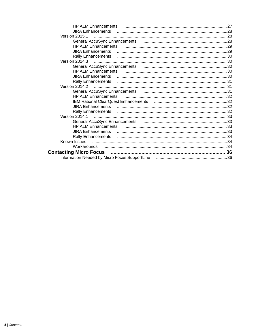| <b>HP ALM Enhancements</b>                                                                                      |  |
|-----------------------------------------------------------------------------------------------------------------|--|
| <b>JIRA Enhancements</b>                                                                                        |  |
| Version 2015.1                                                                                                  |  |
|                                                                                                                 |  |
| <b>HP ALM Enhancements</b>                                                                                      |  |
| JIRA Enhancements (and the control of the control of the control of the control of the control of the control o |  |
| <b>Rally Enhancements</b>                                                                                       |  |
| Version 2014.3                                                                                                  |  |
| General AccuSync Enhancements (and the manufacture of the anti-                                                 |  |
| <b>HP ALM Enhancements</b>                                                                                      |  |
|                                                                                                                 |  |
|                                                                                                                 |  |
| Version 2014.2                                                                                                  |  |
|                                                                                                                 |  |
| <b>HP ALM Enhancements</b>                                                                                      |  |
| IBM Rational ClearQuest Enhancements (and the material material material material material material material m  |  |
|                                                                                                                 |  |
| <b>Rally Enhancements</b>                                                                                       |  |
| Version 2014.1                                                                                                  |  |
| General AccuSync Enhancements (and accuss contain an accuse of the contract of the contract of the General Accu |  |
| <b>HP ALM Enhancements</b>                                                                                      |  |
|                                                                                                                 |  |
| <b>Rally Enhancements</b>                                                                                       |  |
| Known Issues                                                                                                    |  |
| Workarounds                                                                                                     |  |
| <b>Contacting Micro Focus</b>                                                                                   |  |
|                                                                                                                 |  |
|                                                                                                                 |  |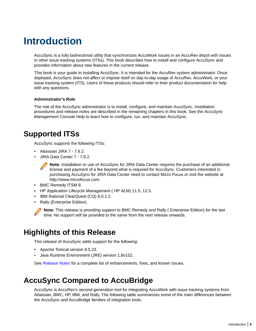# <span id="page-4-0"></span>**Introduction**

AccuSync is a fully bidirectional utility that synchronizes AccuWork issues in an AccuRev depot with issues in other issue tracking systems (ITSs). This book describes how to install and configure AccuSync and provides information about new features in the current release.

This book is your guide to installing AccuSync. It is intended for the AccuRev system administrator. Once deployed, AccuSync does not affect or impose itself on day-to-day usage of AccuRev, AccuWork, or your issue tracking system (ITS). Users of these products should refer to their product documentation for help with any questions.

#### **Administrator's Role**

The role of the AccuSync administrator is to install, configure, and maintain AccuSync. Installation procedures and release notes are described in the remaining chapters in this book. See the *AccuSync Management Console Help* to learn how to configure, run, and maintain AccuSync.

### **Supported ITSs**

AccuSync supports the following ITSs:

- Atlassian JIRA 7 7.6.2.
- JIRA Data Center 7 7.6.2.

**Note:** Installation or use of AccuSync for JIRA Data Center requires the purchase of an additional license and payment of a fee beyond what is required for AccuSync. Customers interested in purchasing AccuSync for JIRA Data Center need to contact Micro Focus or visit the website at http://www.microfocus.com.

- BMC Remedy ITSM 8.
- HP Application Lifecycle Management ( HP ALM) 11.5, 12.5.
- IBM Rational ClearQuest (CQ) 8.0.1.2.
- Rally (Enterprise Edition).

**Note:** This release is providing support to BMC Remedy and Rally ( Enterprise Edition) for the last time. No support will be provided to the same from the next release onwards.

### **Highlights of this Release**

This release of AccuSync adds support for the following:

- Apache Tomcat version 8.5.23.
- Java Runtime Environment (JRE) version 1.8v152.

See *[Release Notes](#page-19-0)* for a complete list of enhancements, fixes, and known issues.

# **AccuSync Compared to AccuBridge**

AccuSync is AccuRev's second-generation tool for integrating AccuWork with issue tracking systems from Atlassian, BMC, HP, IBM, and Rally. The following table summarizes some of the main differences between the AccuSync and AccuBridge families of integration tools.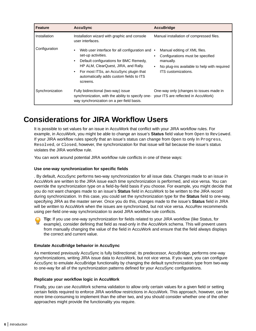<span id="page-5-0"></span>

| <b>Feature</b>  | <b>AccuSync</b>                                                                                                                                                                                                                                                                      | <b>AccuBridge</b>                                                                                                                                                             |
|-----------------|--------------------------------------------------------------------------------------------------------------------------------------------------------------------------------------------------------------------------------------------------------------------------------------|-------------------------------------------------------------------------------------------------------------------------------------------------------------------------------|
| Installation    | Installation wizard with graphic and console<br>user interfaces.                                                                                                                                                                                                                     | Manual installation of compressed files.                                                                                                                                      |
| Configuration   | Web user interface for all configuration and<br>٠<br>set-up activities.<br>Default configurations for BMC Remedy,<br>$\bullet$<br>HP ALM, ClearQuest, JIRA, and Rally.<br>For most ITSs, an AccuSync plugin that<br>$\bullet$<br>automatically adds custom fields to ITS<br>screens. | Manual editing of XML files.<br>Configurations must be specified<br>$\bullet$<br>manually.<br>No plug-ins available to help with required<br>$\bullet$<br>ITS customizations. |
| Synchronization | Fully bidirectional (two-way) issue<br>synchronization, with the ability to specify one-your ITS are reflected in AccuWork)<br>way synchronization on a per-field basis.                                                                                                             | One-way only (changes to issues made in                                                                                                                                       |

# **Considerations for JIRA Workflow Users**

It is possible to set values for an issue in AccuWork that conflict with your JIRA workflow rules. For example, in AccuWork, you might be able to change an issue's **Status** field value from Open to Reviewed. If your JIRA workflow rules specify that an issue's status can change from Open to only In Progress, Resolved, or Closed, however, the synchronization for that issue will fail because the issue's status violates the JIRA workflow rule.

You can work around potential JIRA workflow rule conflicts in one of these ways:

#### **Use one-way synchronization for specific fields**

. By default, AccuSync performs two-way synchronization for all issue data. Changes made to an issue in AccuWork are written to the JIRA issue each time synchronization is performed, and vice versa. You can override the synchronization type on a field-by-field basis if you choose. For example, you might decide that you do not want changes made to an issue's **Status** field in AccuWork to be written to the JIRA record during synchronization. In this case, you could set the synchronization type for the **Status** field to one-way, specifying JIRA as the master server. Once you do this, changes made to the issue's **Status** field in JIRA will be written to AccuWork when the issues are synchronized, but not vice versa. AccuRev recommends using per-field one-way synchronization to avoid JIRA workflow rule conflicts.

**Tip:** If you use one-way synchronization for fields related to your JIRA workflow (like Status, for example), consider defining that field as read-only in the AccuWork schema. This will prevent users from manually changing the value of the field in AccuWork and ensure that the field always displays the correct and current value.

#### **Emulate AccuBridge behavior in AccuSync**

As mentioned previously AccuSync is fully bidirectional; its predecessor, AccuBridge, performs one-way synchronizations, writing JIRA issue data to AccuWork, but not vice versa. If you want, you can configure AccuSync to emulate AccuBridge functionality by changing the default synchronization type from two-way to one-way for all of the synchronization patterns defined for your AccuSync configurations.

#### **Replicate your workflow logic in AccuWork**

Finally, you can use AccuWork schema validation to allow only certain values for a given field or setting certain fields required to enforce JIRA workflow restrictions in AccuWork. This approach, however, can be more time-consuming to implement than the other two, and you should consider whether one of the other approaches might provide the functionality you require.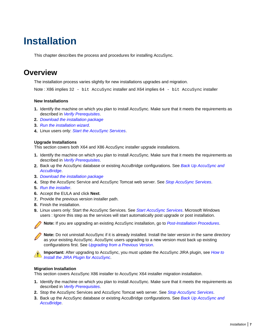# <span id="page-6-0"></span>**Installation**

This chapter describes the process and procedures for installing AccuSync.

### **Overview**

The installation process varies slightly for new installations upgrades and migration.

Note: X86 implies 32 - bit AccuSync installer and X64 implies 64 - bit AccuSync installer

#### **New Installations**

- **1.** Identify the machine on which you plan to install AccuSync. Make sure that it meets the requirements as described in *[Verify Prerequisites](#page-7-0)*.
- **2.** *[Download the installation package](#page-10-0)*
- **3.** *[Run the installation wizard](#page-11-0)*.
- **4.** Linux users only: *[Start the AccuSync Services](#page-14-0)*.

#### **Upgrade Installations**

This section covers both X64 and X86 AccuSync installer upgrade installations.

- **1.** Identify the machine on which you plan to install AccuSync. Make sure that it meets the requirements as described in *[Verify Prerequisites](#page-7-0)*.
- **2.** Back up the AccuSync database or existing AccuBridge configurations. See *[Back Up AccuSync and](#page-8-0) [AccuBridge](#page-8-0)*.
- **3.** *[Download the installation package](#page-10-0)*
- **4.** Stop the AccuSync Service and AccuSync Tomcat web server. See *[Stop AccuSync Services](#page-11-0)*.
- **5.** *[Run the installer](#page-11-0)*.
- **6.** Accept the EULA and click **Next**.
- **7.** Provide the previous version installer path.
- **8.** Finish the installation.
- **9.** Linux users only: Start the AccuSync Services. See *[Start AccuSync Services](#page-14-0)*. Microsoft Windows users : Ignore this step as the services will start automatically post upgrade or post installation.



**Note:** Do not uninstall AccuSync if it is already installed. Install the later version in the same directory as your existing AccuSync. AccuSync users upgrading to a new version must back up existing configurations first. See *Upgrading from a Previous Version*.



**Important:** After upgrading to AccuSync, you must update the AccuSync JIRA plugin, see *[How to](#page-15-0) [Install the JIRA Plugin for AccuSync](#page-15-0)*.

#### **Migration Installation**

This section covers AccuSync X86 installer to AccuSync X64 installer migration installation.

- **1.** Identify the machine on which you plan to install AccuSync. Make sure that it meets the requirements as described in *[Verify Prerequisites](#page-7-0)*.
- **2.** Stop the AccuSync Services and AccuSync Tomcat web server. See *[Stop AccuSync Services](#page-11-0)*.
- **3.** Back up the AccuSync database or existing AccuBridge configurations. See *[Back Up AccuSync and](#page-8-0) [AccuBridge](#page-8-0)*.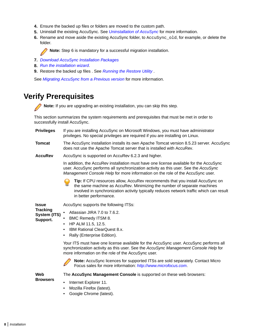- <span id="page-7-0"></span>**4.** Ensure the backed up files or folders are moved to the custom path.
- **5.** Uninstall the existing AccuSync. See *[Uninstallation of AccuSync](#page-10-0)* for more information.
- **6.** Rename and move aside the existing AccuSync folder, to AccuSync\_old, for example, or delete the folder.

**Note:** Step 6 is mandatory for a successful migration installation.

- **7.** *[Download AccuSync Installation Packages](#page-10-0)*
- **8.** *[Run the installation wizard](#page-11-0)*.
- **9.** Restore the backed up files . See *[Running the Restore Utility](#page-9-0)* .

See *[Migrating AccuSync from a Previous version](#page-13-0)* for more information.

# **Verify Prerequisites**

**Note:** If you are upgrading an existing installation, you can skip this step.

This section summarizes the system requirements and prerequisites that must be met in order to successfully install AccuSync.

- **Privileges** If you are installing AccuSync on Microsoft Windows, you must have administrator privileges. No special privileges are required if you are installing on Linux.
- **Tomcat** The AccuSync installation installs its own Apache Tomcat version 8.5.23 server. AccuSync does not use the Apache Tomcat server that is installed with AccuRev.
- **AccuRev** AccuSync is supported on AccuRev 6.2.3 and higher.

In addition, the AccuRev installation must have one license available for the AccuSync user. AccuSync performs all synchronization activity as this user. See the *AccuSync Management Console Help* for more information on the role of the AccuSync user.

**Tip:** If CPU resources allow, AccuRev recommends that you install AccuSync on the same machine as AccuRev. Minimizing the number of separate machines involved in synchronization activity typically reduces network traffic which can result in better performance.

| Issue                                | AccuSync supports the following ITSs:                                                                                                                                                                                              |
|--------------------------------------|------------------------------------------------------------------------------------------------------------------------------------------------------------------------------------------------------------------------------------|
| Tracking<br>System (ITS)<br>Support. | Atlassian JIRA 7.0 to 7.6.2.<br>BMC Remedy ITSM 8.<br>HP ALM 11.5, 12.5.<br>$\bullet$<br>IBM Rational ClearQuest 8.x.                                                                                                              |
|                                      | • Rally (Enterprise Edition).                                                                                                                                                                                                      |
|                                      | Your ITS must have one license available for the AccuSync user. AccuSync performs all<br>synchronization activity as this user. See the AccuSync Management Console Help for<br>more information on the role of the AccuSync user. |
|                                      | <b>Note:</b> AccuSync licences for supported ITSs are sold separately. Contact Micro<br>Focus sales for more information: http://www.microfocus.com.                                                                               |

The **AccuSync Management Console** is supported on these web browsers:

**Web Browsers**

- Internet Explorer 11.
- Mozilla Firefox (latest).
- Google Chrome (latest).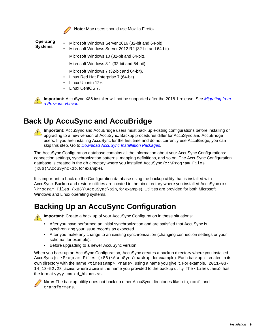

**Note:** Mac users should use Mozilla Firefox.

<span id="page-8-0"></span>**Operating Systems**

- Microsoft Windows Server 2016 (32-bit and 64-bit).
- Microsoft Windows Server 2012 R2 (32-bit and 64-bit).

Microsoft Windows 10 (32-bit and 64-bit).

Microsoft Windows 8.1 (32-bit and 64-bit).

Microsoft Windows 7 (32-bit and 64-bit).

- Linux Red Hat Enterprise 7 (64-bit).
- Linux Ubuntu 12+.
- Linux CentOS 7.

**Important:** AccuSync X86 installer will not be supported after the 2018.1 release. See *[Migrating from](#page-13-0) [a Previous Version.](#page-13-0)*

# **Back Up AccuSync and AccuBridge**

**Important:** AccuSync and AccuBridge users must back up existing configurations before installing or upgrading to a new version of AccuSync. Backup procedures differ for AccuSync and AccuBridge users. If you are installing AccuSync for the first time and do not currently use AccuBridge, you can skip this step. Go to *[Download AccuSync Installation Packages](#page-10-0)*.

The AccuSync Configuration database contains all the information about your AccuSync Configurations: connection settings, synchronization patterns, mapping definitions, and so on. The AccuSync Configuration database is created in the db directory where you installed AccuSync  $(c:\Preogram \; Files)$  $(x86)$  \AccuSync\db, for example).

It is important to back up the Configuration database using the backup utility that is installed with AccuSync. Backup and restore utilities are located in the bin directory where you installed AccuSync ( $c$ : \Program Files (x86)\AccuSync\bin, for example). Utilities are provided for both Microsoft Windows and Linux operating systems.

# **Backing Up an AccuSync Configuration**

**Important:** Create a back up of your AccuSync Configuration in these situations:

- After you have performed an initial synchronization and are satisfied that AccuSync is synchronizing your issue records as expected.
- After you make any change to an existing synchronization (changing connection settings or your schema, for example).
- Before upgrading to a newer AccuSync version.

When you back up an AccuSync Configuration, AccuSync creates a backup directory where you installed AccuSync (c:\Program Files (x86)\AccuSync\backup, for example). Each backup is created in its own directory with the name <timestamp>\_<name>, using a name you give it. For example, 2011-03-14\_13-52.28\_acme, where acme is the name you provided to the backup utility. The <timestamp> has the format yyyy-mm-dd\_hh-mm.ss.



**Note:** The backup utility does not back up other AccuSync directories like bin, conf, and transformers.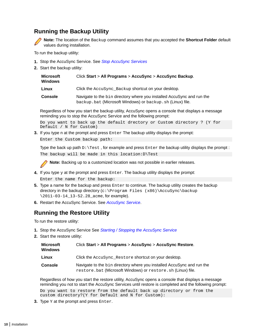### <span id="page-9-0"></span>**Running the Backup Utility**

**Note:** The location of the Backup command assumes that you accepted the **Shortcut Folder** default values during installation.

To run the backup utility:

- **1.** Stop the AccuSync Service. See *[Stop AccuSync Services](#page-11-0)*
- **2.** Start the backup utility:

| <b>Microsoft</b><br><b>Windows</b> | Click Start > All Programs > AccuSync > AccuSync Backup.                                                                            |
|------------------------------------|-------------------------------------------------------------------------------------------------------------------------------------|
| Linux                              | Click the AccuSync Backup shortcut on your desktop.                                                                                 |
| <b>Console</b>                     | Navigate to the bin directory where you installed AccuSync and run the<br>backup.bat (Microsoft Windows) or backup.sh (Linux) file. |

Regardless of how you start the backup utility, AccuSync opens a console that displays a message reminding you to stop the AccuSync Service and the following prompt:

Do you want to back up the default drectory or Custom directory ? (Y for Default / N for Custom)

**3.** If you type n at the prompt and press Enter The backup utility displays the prompt:

Enter the Custom backup path:

Type the back up path  $D:\T e$ st, for example and press Enter the backup utility displays the prompt : The backup will be made in this location:D\Test

**Note:** Backing up to a customized location was not possible in earlier releases.

- **4.** If you type y at the prompt and press Enter. The backup utility displays the prompt: Enter the name for the backup:
- **5.** Type a name for the backup and press Enter to continue. The backup utility creates the backup directory in the backup directory (c:\Program Files (x86)\AccuSync\backup \2011-03-14 13-52.28 acme, for example).
- **6.** Restart the AccuSync Service. See *[AccuSync Service](#page-17-0)*.

### **Running the Restore Utility**

To run the restore utility:

- **1.** Stop the AccuSync Service See *[Starting / Stopping the AccuSync Service](#page-11-0)*
- **2.** Start the restore utility:

| Microsoft<br><b>Windows</b> | Click Start > All Programs > AccuSync > AccuSync Restore.                                                                             |
|-----------------------------|---------------------------------------------------------------------------------------------------------------------------------------|
| Linux                       | Click the AccuSync_Restore shortcut on your desktop.                                                                                  |
| <b>Console</b>              | Navigate to the bin directory where you installed AccuSync and run the<br>restore.bat (Microsoft Windows) or restore.sh (Linux) file. |
|                             | Regardless of how you start the restore utility. AccuSync opens a console that displays a mee                                         |

Regardless of how you start the restore utility, AccuSync opens a console that displays a message reminding you not to start the AccuSync Services until restore is completed and the following prompt:

Do you want to restore from the default back up directory or from the custom directory?(Y for Default and N for Custom):

**3.** Type **Y** at the prompt and press Enter.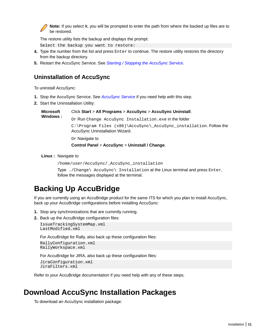<span id="page-10-0"></span>**Note:** If you select N, you will be prompted to enter the path from where the backed up files are to be restored.

The restore utility lists the backup and displays the prompt:

Select the backup you want to restore:

- **4.** Type the number from the list and press Enter to continue. The restore utility restores the directory from the backup directory.
- **5.** Restart the AccuSync Service. See *[Starting / Stopping the AccuSync Service](#page-11-0)*.

### **Uninstallation of AccuSync**

To uninstall AccuSync:

- **1.** Stop the AccuSync Service. See *[AccuSync Service](#page-17-0)* if you need help with this step.
- **2.** Start the Uninstallation Utility:

**Microsoft Windows :** Click **Start** > **All Programs** > **AccuSync** > **AccuSync Uninstall**. Or Run Change AccuSync Installation.exe in the folder C:\Program Files (x86)\AccuSync\\_AccuSync\_installation. Follow the AccuSync Uninstallation Wizard. Or Navigate to

**Control Panel** > **AccuSync** > **Uninstall / Change**.

**Linux :** Navigate to

/home/user/AccuSync/\_AccuSync\_installation

Type ./Change\ AccuSync\ Installation at the Linux terminal and press Enter, follow the messages displayed at the terminal.

# **Backing Up AccuBridge**

If you are currently using an AccuBridge product for the same ITS for which you plan to install AccuSync, back up your AccuBridge configurations before installing AccuSync:

- **1.** Stop any synchronizations that are currently running.
- **2.** Back up the AccuBridge configuration files:

```
IssueTrackingSystemMap.xml
LastModified.xml
```
For AccuBridge for Rally, also back up these configuration files:

```
RallyConfiguration.xml
RallyWorkspace.xml
```
For AccuBridge for JIRA, also back up these configuration files:

JiraConfiguration.xml JiraFilters.xml

Refer to your AccuBridge documentation if you need help with any of these steps.

### **Download AccuSync Installation Packages**

To download an AccuSync installation package: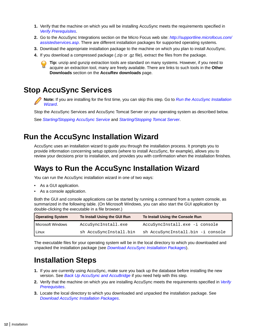- <span id="page-11-0"></span>**1.** Verify that the machine on which you will be installing AccuSync meets the requirements specified in *[Verify Prerequisites](#page-7-0)*.
- **2.** Go to the AccuSync Integrations section on the Micro Focus web site: *[http://supportline.microfocus.com/](http://supportline.microfocus.com/assistedservices.asp) [assistedservices.asp](http://supportline.microfocus.com/assistedservices.asp)*. There are different installation packages for supported operating systems.
- **3.** Download the appropriate installation package to the machine on which you plan to install AccuSync.
- **4.** If you download a compressed package (.zip or .gz file), extract the files from the package.

**Tip:** unzip and gunzip extraction tools are standard on many systems. However, if you need to acquire an extraction tool, many are freely available. There are links to such tools in the **Other Downloads** section on the **AccuRev downloads** page.

### **Stop AccuSync Services**

**Note:** If you are installing for the first time, you can skip this step. Go to *Run the AccuSync Installation Wizard*.

Stop the AccuSync Services and AccuSync Tomcat Server on your operating system as described below.

See *[Starting/Stopping AccuSync Service](#page-17-0)* and *[Starting/Stopping Tomcat Server](#page-18-0)*.

### **Run the AccuSync Installation Wizard**

AccuSync uses an installation wizard to guide you through the installation process. It prompts you to provide information concerning setup options (where to install AccuSync, for example), allows you to review your decisions prior to installation, and provides you with confirmation when the installation finishes.

### **Ways to Run the AccuSync Installation Wizard**

You can run the AccuSync installation wizard in one of two ways:

- As a GUI application.
- As a console application.

Both the GUI and console applications can be started by running a command from a system console, as summarized in the following table. (On Microsoft Windows, you can also start the GUI application by double-clicking the executable in a file browser.)

| <b>Operating System</b> | To Install Using the GUI Run | To Install Using the Console Run  |
|-------------------------|------------------------------|-----------------------------------|
| Microsoft Windows       | AccuSyncInstall.exe          | AccuSyncInstall.exe -i console    |
| Linux                   | sh AccuSyncInstall.bin       | sh AccuSyncInstall.bin -i console |

The executable files for your operating system will be in the local directory to which you downloaded and unpacked the installation package (see *[Download AccuSync Installation Packages](#page-10-0)*).

# **Installation Steps**

- **1.** If you are currently using AccuSync, make sure you back up the database before installing the new version. See *[Back Up AccuSync and AccuBridge](#page-8-0)* if you need help with this step.
- **2.** Verify that the machine on which you are installing AccuSync meets the requirements specified in *[Verify](#page-7-0) [Prerequisites](#page-7-0)*.
- **3.** Locate the local directory to which you downloaded and unpacked the installation package. See *[Download AccuSync Installation Packages](#page-10-0)*.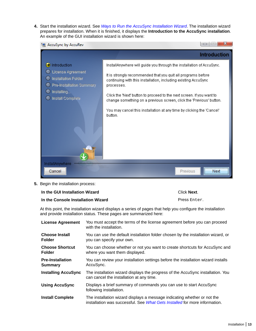**4.** Start the installation wizard. See *[Ways to Run the AccuSync Installation Wizard](#page-11-0)*. The installation wizard prepares for installation. When it is finished, it displays the **Introduction to the AccuSync installation**. An example of the GUI installation wizard is shown here:



**5.** Begin the installation process:

| In the GUI Installation Wizard     | Click Next.  |
|------------------------------------|--------------|
| In the Console Installation Wizard | Press Enter. |

At this point, the installation wizard displays a series of pages that help you configure the installation and provide installation status. These pages are summarized here:

| <b>License Agreement</b>                  | You must accept the terms of the license agreement before you can proceed<br>with the installation.                                                    |
|-------------------------------------------|--------------------------------------------------------------------------------------------------------------------------------------------------------|
| <b>Choose Install</b><br><b>Folder</b>    | You can use the default installation folder chosen by the installation wizard, or<br>you can specify your own.                                         |
| <b>Choose Shortcut</b><br><b>Folder</b>   | You can choose whether or not you want to create shortcuts for AccuSync and<br>where you want them displayed.                                          |
| <b>Pre-Installation</b><br><b>Summary</b> | You can review your installation settings before the installation wizard installs<br>AccuSync.                                                         |
| <b>Installing AccuSync</b>                | The installation wizard displays the progress of the AccuSync installation. You<br>can cancel the installation at any time.                            |
| <b>Using AccuSync</b>                     | Displays a brief summary of commands you can use to start AccuSync<br>following installation.                                                          |
| <b>Install Complete</b>                   | The installation wizard displays a message indicating whether or not the<br>installation was successful. See What Gets Installed for more information. |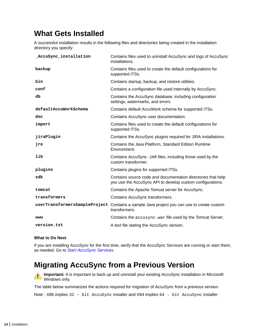# <span id="page-13-0"></span>**What Gets Installed**

A successful installation results in the following files and directories being created in the installation directory you specify:

| AccuSync installation | Contains files used to uninstall AccuSync and logs of AccuSync<br>installations.                                           |
|-----------------------|----------------------------------------------------------------------------------------------------------------------------|
| backup                | Contains files used to create the default configurations for<br>supported ITSs.                                            |
| bin                   | Contains startup, backup, and restore utilities.                                                                           |
| conf                  | Contains a configuration file used internally by AccuSync.                                                                 |
| db                    | Contains the AccuSync database, including configuration<br>settings, watermarks, and errors                                |
| defaultAccuWorkSchema | Contains default AccuWork schema for supported ITSs.                                                                       |
| doc                   | Contains AccuSync user documentation.                                                                                      |
| import                | Contains files used to create the default configurations for<br>supported ITSs.                                            |
| jiraPlugin            | Contains the AccuSync plugins required for JIRA installations.                                                             |
| ire                   | Contains the Java Platform, Standard Edition Runtime<br>Environment.                                                       |
| lib                   | Contains AccuSync .JAR files, including those used by the<br>custom transformer.                                           |
| plugins               | Contains plugins for supported ITSs.                                                                                       |
| sdk                   | Contains source code and documentation directories that help<br>you use the AccuSync API to develop custom configurations. |
| tomcat                | Contains the Apache Tomcat server for AccuSync.                                                                            |
| transformers          | Contains AccuSync transformers.                                                                                            |
|                       | userTransformersSampleProject Contains a sample Java project you can use to create custom<br>transformers.                 |
| www                   | Contains the accusync. war file used by the Tomcat Server.                                                                 |
| version.txt           | A text file stating the AccuSync version.                                                                                  |

#### **What to Do Next**

If you are installing AccuSync for the first time, verify that the AccuSync Services are running or start them, as needed. Go to *[Start AccuSync Services](#page-14-0)*.

### **Migrating AccuSync from a Previous Version**

**Important:** It is important to back up and uninstall your existing AccuSync installation in Microsoft Windows only.

The table below summarizes the actions required for migration of AccuSync from a previous version.

Note: X86 implies 32 - bit AccuSync installer and X64 implies 64 - bit AccuSync installer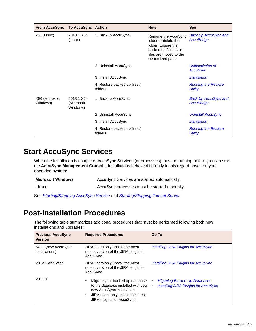<span id="page-14-0"></span>

| <b>From AccuSync</b>       | <b>To AccuSync Action</b>             |                                         | <b>Note</b>                                                                                                                             | <b>See</b>                                       |
|----------------------------|---------------------------------------|-----------------------------------------|-----------------------------------------------------------------------------------------------------------------------------------------|--------------------------------------------------|
| x86 (Linux)                | 2018.1 X64<br>(Linux)                 | 1. Backup AccuSync                      | Rename the AccuSync<br>folder or delete the<br>folder. Ensure the<br>backed up folders or<br>files are moved to the<br>customized path. | <b>Back Up AccuSync and</b><br><b>AccuBridge</b> |
|                            |                                       | 2. Uninstall AccuSync                   |                                                                                                                                         | Uninstallation of<br>AccuSync                    |
|                            |                                       | 3. Install AccuSync                     |                                                                                                                                         | <i><b>Installation</b></i>                       |
|                            |                                       | 4. Restore backed up files /<br>folders |                                                                                                                                         | <b>Running the Restore</b><br>Utility            |
| X86 (Microsoft<br>Windows) | 2018.1 X64<br>(Microsoft)<br>Windows) | 1. Backup AccuSync                      |                                                                                                                                         | <b>Back Up AccuSync and</b><br><b>AccuBridge</b> |
|                            |                                       | 2. Uninstall AccuSync                   |                                                                                                                                         | <b>Uninstall AccuSync</b>                        |
|                            |                                       | 3. Install AccuSync                     |                                                                                                                                         | <b>Installation</b>                              |
|                            |                                       | 4. Restore backed up files /<br>folders |                                                                                                                                         | <b>Running the Restore</b><br><b>Utility</b>     |

### **Start AccuSync Services**

When the installation is complete, AccuSync Services (or processes) must be running before you can start the **AccuSync Management Console**. Installations behave differently in this regard based on your operating system:

| <b>Microsoft Windows</b> | AccuSync Services are started automatically. |
|--------------------------|----------------------------------------------|
| Linux                    | AccuSync processes must be started manually. |

See *[Starting/Stopping AccuSync Service](#page-17-0)* and *[Starting/Stopping Tomcat Server](#page-18-0)*.

# **Post-Installation Procedures**

The following table summarizes additional procedures that must be performed following both new installations and upgrades:

| <b>Previous AccuSync</b><br><b>Version</b> | <b>Required Procedures</b>                                                                                                                                                               | Go To                                                                                 |
|--------------------------------------------|------------------------------------------------------------------------------------------------------------------------------------------------------------------------------------------|---------------------------------------------------------------------------------------|
| None (new AccuSync<br>installations)       | JIRA users only: Install the most<br>recent version of the JIRA plugin for<br>AccuSync.                                                                                                  | <b>Installing JIRA Plugins for AccuSync.</b>                                          |
| 2012.1 and later                           | JIRA users only: Install the most<br>recent version of the JIRA plugin for<br>AccuSync.                                                                                                  | <b>Installing JIRA Plugins for AccuSync.</b>                                          |
| 2011.3                                     | Migrate your backed up database<br>to the database installed with your •<br>new AccuSync installation.<br>JIRA users only: Install the latest<br>$\bullet$<br>JIRA plugins for AccuSync. | <b>Migrating Backed Up Databases.</b><br><b>Installing JIRA Plugins for AccuSync.</b> |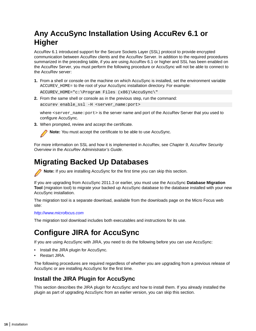# <span id="page-15-0"></span>**Any AccuSync Installation Using AccuRev 6.1 or Higher**

AccuRev 6.1 introduced support for the Secure Sockets Layer (SSL) protocol to provide encrypted communication between AccuRev clients and the AccuRev Server. In addition to the required procedures summarized in the preceding table, if you are using AccuRev 6.1 or higher and SSL has been enabled on the AccuRev Server, you must perform the following procedure or AccuSync will not be able to connect to the AccuRev server:

**1.** From a shell or console on the machine on which AccuSync is installed, set the environment variable ACCUREV HOME= to the root of your AccuSync installation directory. For example:

ACCUREV\_HOME="c:\Program Files (x86)\AccuSync\"

**2.** From the same shell or console as in the previous step, run the command:

accurev enable ssl -H <server name:port>

where <server\_name: port> is the server name and port of the AccuRev Server that you used to configure AccuSync.

**3.** When prompted, review and accept the certificate.



**Note:** You must accept the certificate to be able to use AccuSync.

For more information on SSL and how it is implemented in AccuRev, see *Chapter 9, AccuRev Security Overview* in the *AccuRev Administrator's Guide*.

# **Migrating Backed Up Databases**

**Note:** If you are installing AccuSync for the first time you can skip this section.

If you are upgrading from AccuSync 2011.3 or earlier, you must use the AccuSync **Database Migration Tool** (migration tool) to migrate your backed up AccuSync database to the database installed with your new AccuSync installation.

The migration tool is a separate download, available from the downloads page on the Micro Focus web site:

#### *[http://www.microfocus.com](http://www.microfocus.com/)*

The migration tool download includes both executables and instructions for its use.

# **Configure JIRA for AccuSync**

If you are using AccuSync with JIRA, you need to do the following before you can use AccuSync:

- Install the JIRA plugin for AccuSync.
- Restart JIRA.

The following procedures are required regardless of whether you are upgrading from a previous release of AccuSync or are installing AccuSync for the first time.

### **Install the JIRA Plugin for AccuSync**

This section describes the JIRA plugin for AccuSync and how to install them. If you already installed the plugin as part of upgrading AccuSync from an earlier version, you can skip this section.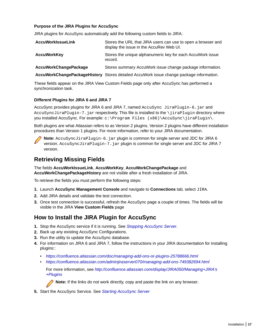#### <span id="page-16-0"></span>**Purpose of the JIRA Plugins for AccuSync**

JIRA plugins for AccuSync automatically add the following custom fields to JIRA:

| <b>AccuWorkIssueLink</b> | Stores the URL that JIRA users can use to open a browser and<br>display the issue in the AccuRev Web UI. |
|--------------------------|----------------------------------------------------------------------------------------------------------|
| <b>AccuWorkKey</b>       | Stores the unique alphanumeric key for each AccuWork issue<br>record.                                    |

**AccuWorkChangePackage** Stores summary AccuWork issue change package information.

**AccuWorkChangePackageHistory** Stores detailed AccuWork issue change package information.

These fields appear on the JIRA View Custom Fields page only after AccuSync has performed a synchronization task.

#### **Different Plugins for JIRA 6 and JIRA 7**

AccuSync provides plugins for JIRA 6 and JIRA 7, named AccuSync JiraPlugin-6.jar and AccuSyncJiraPlugin-7.jar respectively. This file is installed to the \jiraPlugin directory where you installed AccuSync. For example: c:\Program Files (x86)\AccuSync\jiraPlugin\.

Both plugins are what Atlassian refers to as Version 2 plugins. Version 2 plugins have different installation procedures than Version 1 plugins. For more information, refer to your JIRA documentation.



**Note:** AccuSyncJiraPlugin-6.jar plugin is common for single server and JDC for JIRA 6 version. AccuSyncJiraPlugin-7. jar plugin is common for single server and JDC for JIRA 7 version.

### **Retrieving Missing Fields**

The fields **AccuWorkIssueLink**, **AccuWorkKey**, **AccuWorkChangePackage** and **AccuWorkChangePackageHistory** are not visible after a fresh installation of JIRA.

To retrieve the fields you must perform the following steps:

- **1.** Launch **AccuSync Management Console** and navigate to **Connections** tab, select JIRA.
- **2.** Add JIRA details and validate the test connection.
- **3.** Once test connection is successful, refresh the AccuSync page a couple of times. The fields will be visible in the JIRA **View Custom Fields** page

### **How to Install the JIRA Plugin for AccuSync**

- **1.** Stop the AccuSync service if it is running. See *[Stopping AccuSync Server](#page-17-0)*.
- **2.** Back up any existing AccuSync Configurations.
- **3.** Run the utility to update the AccuSync database.
- **4.** For information on JIRA 6 and JIRA 7, follow the instructions in your JIRA documentation for installing plugins::
	- *<https://confluence.atlassian.com/doc/managing-add-ons-or-plugins-25788666.html>*
	- *<https://confluence.atlassian.com/adminjiraserver070/managing-add-ons-749382694.html>*

For more information, see *[http://confluence.atlassian.com/display/JIRA050/Managing+JIRA's](http://confluence.atlassian.com/display/JIRA050/Managing+JIRA) [+Plugins](http://confluence.atlassian.com/display/JIRA050/Managing+JIRA)*

**Note:** If the links do not work directly, copy and paste the link on any browser.

**5.** Start the AccuSync Service. See *[Starting AccuSync Server](#page-17-0)*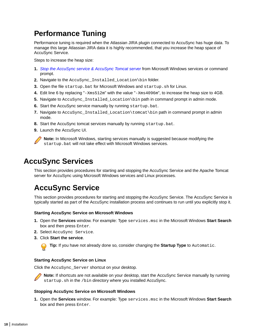# <span id="page-17-0"></span>**Performance Tuning**

Performance tuning is required when the Atlassian JIRA plugin connected to AccuSync has huge data. To manage this large Atlassian JIRA data it is highly recommended, that you increase the heap space of AccuSync Service.

Steps to increase the heap size:

- **1.** *[Stop the AccuSync service & AccuSync Tomcat server](#page-11-0)* from Microsoft Windows services or command prompt.
- **2.** Navigate to the AccuSync\_Installed\_Location\bin folder.
- **3.** Open the file startup.bat for Microsoft Windows and startup.sh for Linux.
- **4.** Edit line 6 by replacing "-Xms512m" with the value "-Xms4096m", to increase the heap size to 4GB.
- **5.** Navigate to AccuSync\_Installed\_Location\bin path in command prompt in admin mode.
- **6.** Start the AccuSync service manually by running startup.bat.
- **7.** Navigate to AccuSync\_Installed\_Location\tomcat\bin path in command prompt in admin mode.
- **8.** Start the AccuSync tomcat services manually by running startup.bat.
- **9.** Launch the AccuSync UI.

**Note:** In Microsoft Windows, starting services manually is suggested because modifying the startup.bat will not take effect with Microsoft Windows services.

### **AccuSync Services**

This section provides procedures for starting and stopping the AccuSync Service and the Apache Tomcat server for AccuSync using Microsoft Windows services and Linux processes.

# **AccuSync Service**

This section provides procedures for starting and stopping the AccuSync Service. The AccuSync Service is typically started as part of the AccuSync installation process and continues to run until you explicitly stop it.

#### **Starting AccuSync Service on Microsoft Windows**

- **1.** Open the **Services** window. For example: Type services.msc in the Microsoft Windows **Start Search** box and then press Enter.
- **2.** Select AccuSync Service.
- **3.** Click **Start the service**.



**Tip:** If you have not already done so, consider changing the **Startup Type** to Automatic.

#### **Starting AccuSync Service on Linux**

Click the AccuSync Server shortcut on your desktop.



**Note:** If shortcuts are not available on your desktop, start the AccuSync Service manually by running startup.sh in the /bin directory where you installed AccuSync.

#### **Stopping AccuSync Service on Microsoft Windows**

**1.** Open the **Services** window. For example: Type services.msc in the Microsoft Windows **Start Search** box and then press Enter.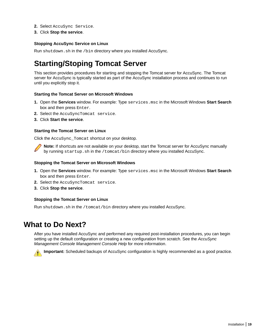- <span id="page-18-0"></span>**2.** Select AccuSync Service.
- **3.** Click **Stop the service**.

#### **Stopping AccuSync Service on Linux**

Run shutdown.sh in the /bin directory where you installed AccuSync.

# **Starting/Stoping Tomcat Server**

This section provides procedures for starting and stopping the Tomcat server for AccuSync. The Tomcat server for AccuSync is typically started as part of the AccuSync installation process and continues to run until you explicitly stop it.

#### **Starting the Tomcat Server on Microsoft Windows**

- **1.** Open the **Services** window. For example: Type services.msc in the Microsoft Windows **Start Search** box and then press Enter.
- **2.** Select the AccuSyncTomcat service.
- **3.** Click **Start the service**.

#### **Starting the Tomcat Server on Linux**

Click the AccuSync Tomcat shortcut on your desktop.

**Note:** If shortcuts are not available on your desktop, start the Tomcat server for AccuSync manually by running startup.sh in the /tomcat/bin directory where you installed AccuSync.

#### **Stopping the Tomcat Server on Microsoft Windows**

- **1.** Open the **Services** window. For example: Type services.msc in the Microsoft Windows **Start Search** box and then press Enter.
- **2.** Select the AccuSyncTomcat service.
- **3.** Click **Stop the service**.

#### **Stopping the Tomcat Server on Linux**

Run shutdown.sh in the /tomcat/bin directory where you installed AccuSync.

### **What to Do Next?**

After you have installed AccuSync and performed any required post-installation procedures, you can begin setting up the default configuration or creating a new configuration from scratch. See the *AccuSync Management Console Management Console Help* for more information.



**Important:** Scheduled backups of AccuSync configuration is highly recommended as a good practice.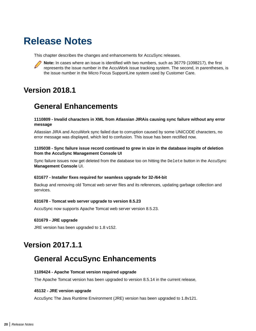# <span id="page-19-0"></span>**Release Notes**

This chapter describes the changes and enhancements for AccuSync releases.

**Note:** In cases where an issue is identified with two numbers, such as 36779 (1098217), the first represents the issue number in the AccuWork issue tracking system. The second, in parentheses, is the issue number in the Micro Focus SupportLine system used by Customer Care.

### **Version 2018.1**

### **General Enhancements**

#### **1110809 - Invalid characters in XML from Atlassian JIRAis causing sync failure without any error message**

Atlassian JIRA and AccuWork sync failed due to corruption caused by some UNICODE characters, no error message was displayed, which led to confusion. This issue has been rectified now.

#### **1105038 - Sync failure issue record continued to grew in size in the database inspite of deletion from the AccuSync Management Console UI**

Sync failure issues now get deleted from the database too on hitting the Delete button in the AccuSync **Management Console** UI.

#### **631677 - Installer fixes required for seamless upgrade for 32-/64-bit**

Backup and removing old Tomcat web server files and its references, updating garbage collection and services.

#### **631678 - Tomcat web server upgrade to version 8.5.23**

AccuSync now supports Apache Tomcat web server version 8.5.23.

#### **631679 - JRE upgrade**

JRE version has been upgraded to 1.8 v152.

# **Version 2017.1.1**

### **General AccuSync Enhancements**

#### **1109424 - Apache Tomcat version required upgrade**

The Apache Tomcat version has been upgraded to version 8.5.14 in the current release,

#### **45132 - JRE version upgrade**

AccuSync The Java Runtime Environment (JRE) version has been upgraded to 1.8v121.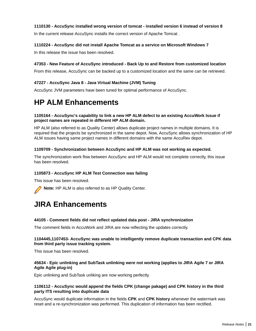#### <span id="page-20-0"></span>**1110130 - AccuSync installed wrong version of tomcat - installed version 6 instead of version 8**

In the current release AccuSync installs the correct version of Apache Tomcat .

#### **1110224 - AccuSync did not install Apache Tomcat as a service on Microsoft Windows 7**

In this release the issue has been resolved.

#### **47353 - New Feature of AccuSync introduced - Back Up to and Restore from customized location**

From this release, AccuSync can be backed up to a customized location and the same can be retrieved.

#### **47227 - AccuSync Java 8 - Java Virtual Machine (JVM) Tuning**

AccuSync JVM parameters have been tuned for optimal performance of AccuSync.

# **HP ALM Enhancements**

#### **1105164 - AccuSync's capability to link a new HP ALM defect to an existing AccuWork Issue if project names are repeated in different HP ALM domain.**

HP ALM (also referred to as Quality Center) allows duplicate project names in multiple domains. It is required that the projects be synchronized in the same depot. Now, AccuSync allows synchronization of HP ALM issues having same project names in different domains with the same AccuRev depot.

#### **1109709 - Synchronization between AccuSync and HP ALM was not working as expected.**

The synchronization work flow between AccuSync and HP ALM would not complete correctly, this issue has been resolved.

#### **1105873 - AccuSync HP ALM Test Connection was failing**

This issue has been resolved.

**Note:** HP ALM is also referred to as HP Quality Center.

### **JIRA Enhancements**

#### **44105 - Comment fields did not reflect updated data post - JIRA synchronization**

The comment fields in AccuWork and JIRA are now reflecting the updates correctly.

#### **1104445,1107453- AccuSync was unable to intelligently remove duplicate transaction and CPK data from third party issue tracking system.**

This issue has been resolved.

#### **45634 - Epic unlinking and SubTask unlinking were not working (applies to JIRA Agile 7 or JIRA Agile Agile plug-in)**

Epic unlinking and SubTask unliking are now working perfectly.

#### **1106112 - AccuSync would append the fields CPK (change pakage) and CPK history in the third party ITS resulting into duplicate data**

AccuSync would duplicate information in the fields **CPK** and **CPK history** whenever the watermark was reset and a re-synchronization was performed. This duplication of information has been rectified.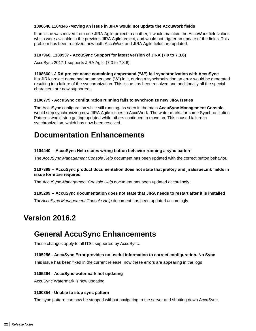#### <span id="page-21-0"></span>**1096646,1104346 -Moving an issue in JIRA would not update the AccuWork fields**

If an issue was moved from one JIRA Agile project to another, it would maintain the AccuWork field values which were available in the previous JIRA Agile project, and would not trigger an update of the fields. This problem has been resolved, now both AccuWork and JIRA Agile fields are updated.

#### **1107966, 1109537 - AccuSync Support for latest version of JIRA (7.0 to 7.3.6)**

AccuSync 2017.1 supports JIRA Agile (7.0 to 7.3.6).

**1108660 - JIRA project name containing ampersand ("&") fail synchronization with AccuSync** If a JIRA project name had an ampersand ("&") in it, during a synchronization an error would be generated resulting into failure of the synchronization. This issue has been resolved and additionally all the special characters are now supported.

#### **1106779 - AccuSync configuration running fails to synchronize new JIRA Issues**

The AccuSync configuration while still running, as seen in the main **AccuSync Management Console**, would stop synchronizing new JIRA Agile issues to AccuWork. The water marks for some Synchronization Patterns would stop getting updated while others continued to move on. This caused failure in synchronization, which has now been resolved.

### **Documentation Enhancements**

#### **1104440 -- AccuSync Help states wrong button behavior running a sync pattern**

The *AccuSync Management Console Help* document has been updated with the correct button behavior.

#### **1107398 -- AccuSync product documentation does not state that jiraKey and jiraIssueLink fields in issue form are required**

The *AccuSync Management Console Help* document has been updated accordingly.

#### **1105209 -- AccuSync documentation does not state that JIRA needs to restart after it is installed**

The*AccuSync Management Console Help* document has been updated accordingly.

### **Version 2016.2**

# **General AccuSync Enhancements**

These changes apply to all ITSs supported by AccuSync.

#### **1105256 - AccuSync Error provides no useful information to correct configuration. No Sync**

This issue has been fixed in the current release, now these errors are appearing in the logs

#### **1105264 - AccuSync watermark not updating**

AccuSync Watermark is now updating.

#### **1100854 - Unable to stop sync pattern**

The sync pattern can now be stopped without navigating to the server and shutting down AccuSync.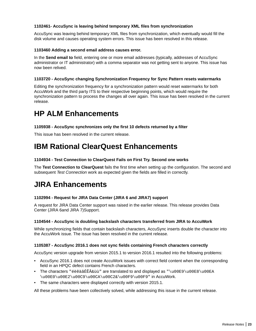#### <span id="page-22-0"></span>**1102461- AccuSync is leaving behind temporary XML files from synchronization**

AccuSync was leaving behind temporary XML files from synchronization, which eventually would fill the disk volume and causes operating system errors. This issue has been resolved in this release.

#### **1103460 Adding a second email address causes error.**

In the **Send email to** field, entering one or more email addresses (typically, addresses of AccuSync administrator or IT administrator) with a comma separator was not getting sent to anyone. This issue has now been relived.

#### **1103720 - AccuSync changing Synchronization Frequency for Sync Pattern resets watermarks**

Editing the synchronization frequency for a synchronization pattern would reset watermarks for both AccuWork and the third party ITS to their respective beginning points, which would require the synchronization pattern to process the changes all over again. This issue has been resolved in the current release.

### **HP ALM Enhancements**

#### **1105938 - AccuSync synchronizes only the first 10 defects returned by a filter**

This issue has been resolved in the current release.

### **IBM Rational ClearQuest Enhancements**

#### **1104934 - Test Connection to ClearQuest Fails on First Try. Second one works**

The **Test Connection to ClearQuest** fails the first time when setting up the configuration. The second and subsequent *Test Connection* work as expected given the fields are filled in correctly.

### **JIRA Enhancements**

#### **1102994 - Request for JIRA Data Center (JIRA 6 and JIRA7) support**

A request for JIRA Data Center support was raised in the earlier release. This release provides Data Center (JIRA 6and JIRA 7)Support.

#### **1104544 - AccuSync is doubling backslash characters transferred from JIRA to AccuWork**

While synchronizing fields that contain backslash characters, AccuSync inserts double the character into the AccuWork issue. The issue has been resolved in the current release.

#### **1105387 - AccuSync 2016.1 does not sync fields containing French characters correctly**

AccuSync version upgrade from version 2015.1 to version 2016.1 resulted into the following problems:

- AccuSync 2016.1 does not create AccuWork issues with correct field content when the corresponding field in an HPQC defect contains French characters.
- The characters "éèêàâÉÊÂ&ùù" are translated to and displayed as "\u00E9\u00E8\u00EA \u00E0\u00E2\u00C9\u00CA\u00C2&\u00F9\u00F9" in AccuWork.
- The same characters were displayed correctly with version 2015.1.

All these problems have been collectively solved, while addressing this issue in the current release.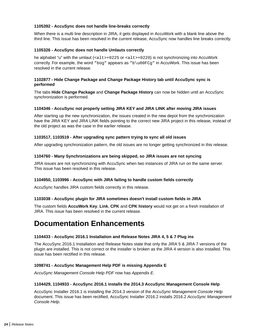#### <span id="page-23-0"></span>**1105392 - AccuSync does not handle line-breaks correctly**

When there is a multi line description in JIRA, it gets displayed in AccuWork with a blank line above the third line. This issue has been resolved in the current release, AccuSync now handles line breaks correctly.

#### **1105326 - AccuSync does not handle Umlauts correctly**

he alphabet "u" with the umlaut (<alt>+0225 or <alt>+0220) is not synchronizing into AccuWork correctly. For example, the word "büg" appears as "b\u00FCg" in AccuWork. This issue has been resolved in the current release.

#### **1102877 - Hide Change Package and Change Package History tab until AccuSync sync is performed**

The tabs **Hide Change Package** and **Change Package History** can now be hidden until an AccuSync synchronization is performed.

#### **1104346 - AccuSync not properly setting JIRA KEY and JIRA LINK after moving JIRA issues**

After starting up the new synchronization, the issues created in the new depot from the synchronization have the JIRA KEY and JIRA LINK fields pointing to the correct new JIRA project in this release, instead of the old project as was the case in the earlier release.

#### **1103517, 1103519 - After upgrading sync pattern trying to sync all old issues**

After upgrading synchronization pattern, the old issues are no longer getting synchronized in this release.

#### **1104760 - Many Synchronizations are being skipped, so JIRA issues are not syncing**

JIRA issues are not synchronizing with AccuSync when two instances of JIRA run on the same server. This issue has been resolved in this release.

#### **1104950, 1103996 - AccuSync with JIRA failing to handle custom fields correctly**

AccuSync handles JIRA custom fields correctly in this release.

#### **1103038 - AccuSync plugin for JIRA sometimes doesn't install custom fields in JIRA**

The custom fields **AccuWork Key**, **Link**, **CPK** and **CPK history** would not get on a fresh installation of JIRA. This issue has been resolved in the current release.

### **Documentation Enhancements**

#### **1104433 - AccuSync 2016.1 Installation and Release Notes JIRA 4, 5 & 7 Plug ins**

The AccuSync 2016.1 Installation and Release Notes state that only the JIRA 5 & JIRA 7 versions of the plugin are installed. This is not correct or the installer is broken as the JIRA 4 version is also installed. This issue has been rectified in this release.

#### **1098741 - AccuSync Management Help PDF is missing Appendix E**

*AccuSync Management Console Help PDF* now has *Appendix E*.

#### **1104429, 1104933 - AccuSync 2016.1 installs the 2014.3 AccuSync Management Console Help**

AccuSync Installer 2016.1 is installing the 2014.3 version of the *AccuSync Management Console Help* document. This issue has been rectified, AccuSync Installer 2016.2 installs 2016.2 *AccuSync Management Console Help*.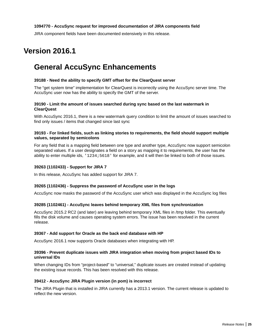#### <span id="page-24-0"></span>**1094770 - AccuSync request for improved documentation of JIRA components field**

JIRA component fields have been documented extensively in this release.

### **Version 2016.1**

### **General AccuSync Enhancements**

#### **39188 - Need the ability to specify GMT offset for the ClearQuest server**

The "get system time" implementation for ClearQuest is incorrectly using the AccuSync server time. The AccuSync user now has the ability to specify the GMT of the server.

#### **39190 - Limit the amount of issues searched during sync based on the last watermark in ClearQuest**

With AccuSync 2016.1, there is a new watermark query condition to limit the amount of issues searched to find only issues / items that changed since last sync

#### **39193 - For linked fields, such as linking stories to requirements, the field should support multiple values, separated by semicolons**

For any field that is a mapping field between one type and another type, AccuSync now support semicolon separated values. If a user designates a field on a story as mapping it to requirements, the user has the ability to enter multiple ids, '1234;5618' for example, and it will then be linked to both of those issues.

#### **39263 (1102433) - Support for JIRA 7**

In this release, AccuSync has added support for JIRA 7.

#### **39265 (1102436) - Suppress the password of AccuSync user in the logs**

AccuSync now masks the password of the AccuSync user which was displayed in the AccuSync log files

#### **39285 (1102461) - AccuSync leaves behind temporary XML files from synchronization**

AccuSync 2015.2 RC2 (and later) are leaving behind temporary XML files in /tmp folder. This eventually fills the disk volume and causes operating system errors. The issue has been resolved in the current release.

#### **39367 - Add support for Oracle as the back end database with HP**

AccuSync 2016.1 now supports Oracle databases when integrating with HP.

#### **39396 - Prevent duplicate issues with JIRA integration when moving from project based IDs to universal IDs**

When changing IDs from "project-based" to "universal," duplicate issues are created instead of updating the existing issue records. This has been resolved with this release.

#### **39412 - AccuSync JIRA Plugin version (in pom) is incorrect**

The JIRA Plugin that is installed in JIRA currently has a 2013.1 version. The current release is updated to reflect the new version.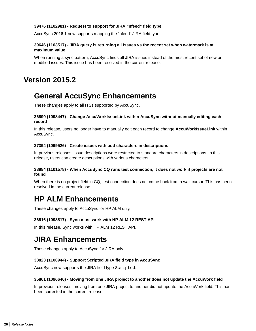#### <span id="page-25-0"></span>**39476 (1102981) - Request to support for JIRA "nfeed" field type**

AccuSync 2016.1 now supports mapping the "nfeed" JIRA field type.

#### **39646 (1103517) - JIRA query is returning all Issues vs the recent set when watermark is at maximum value**

When running a sync pattern, AccuSync finds all JIRA issues instead of the most recent set of new or modified issues. This issue has been resolved in the current release.

### **Version 2015.2**

### **General AccuSync Enhancements**

These changes apply to all ITSs supported by AccuSync.

#### **36890 (1098447) - Change AccuWorkIssueLink within AccuSync without manually editing each record**

In this release, users no longer have to manually edit each record to change **AccuWorkIssueLink** within AccuSync.

#### **37394 (1099526) - Create issues with odd characters in descriptions**

In previous releases, issue descriptions were restricted to standard characters in descriptions. In this release, users can create descriptions with various characters.

#### **38984 (1101578) - When AccuSync CQ runs test connection, it does not work if projects are not found**

When there is no project field in CQ, test connection does not come back from a wait cursor. This has been resolved in the current release.

# **HP ALM Enhancements**

These changes apply to AccuSync for HP ALM only.

#### **36816 (1098817) - Sync must work with HP ALM 12 REST API**

In this release, Sync works with HP ALM 12 REST API.

### **JIRA Enhancements**

These changes apply to AccuSync for JIRA only.

#### **38823 (1100944) - Support Scripted JIRA field type in AccuSync**

AccuSync now supports the JIRA field type Scripted.

#### **35861 (1096646) - Moving from one JIRA project to another does not update the AccuWork field**

In previous releases, moving from one JIRA project to another did not update the AccuWork field. This has been corrected in the current release.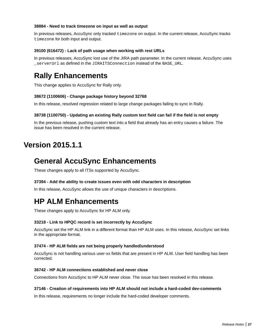#### <span id="page-26-0"></span>**38884 - Need to track timezone on input as well as output**

In previous releases, AccuSync only tracked timezone on output. In the current release, AccuSync tracks timezone for both input and output.

#### **39100 (616472) - Lack of path usage when working with rest URLs**

In previous releases, AccuSync lost use of the JIRA path parameter. In the current release, AccuSync uses serverUrl as defined in the JIRAITSConnection instead of the BASE\_URL.

# **Rally Enhancements**

This change applies to AccuSync for Rally only.

#### **38672 (1100606) - Change package history beyond 32768**

In this release, resolved regression related to large change packages failing to sync in Rally.

#### **38738 (1100750) - Updating an existing Rally custom text field can fail if the field is not empty**

In the previous release, pushing custom text into a field that already has an entry causes a failure. The issue has been resolved in the current release.

### **Version 2015.1.1**

### **General AccuSync Enhancements**

These changes apply to all ITSs supported by AccuSync.

#### **37394 - Add the ability to create issues even with odd characters in description**

In this release, AccuSync allows the use of unique characters in descriptions.

### **HP ALM Enhancements**

These changes apply to AccuSync for HP ALM only.

#### **33218 - Link to HPQC record is set incorrectly by AccuSync**

AccuSync set the HP ALM link in a different format than HP ALM uses. In this release, AccuSync set links in the appropriate format.

#### **37474 - HP ALM fields are not being properly handled/understood**

AccuSync is not handling various user-xx fields that are present in HP ALM. User field handling has been corrected.

#### **36742 - HP ALM connections established and never close**

Connections from AccuSync to HP ALM never close. The issue has been resolved in this release.

#### **37146 - Creation of requirements into HP ALM should not include a hard-coded dev-comments**

In this release, requirements no longer include the hard-coded developer comments.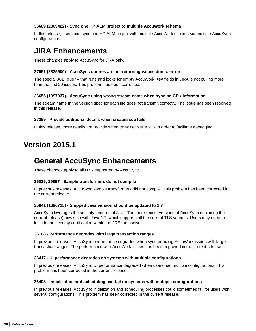#### <span id="page-27-0"></span>**36689 (2809422) - Sync one HP ALM project to multiple AccuWork schema**

In this release, users can sync one HP ALM project with multiple AccuWork schema via multiple AccuSync configurations.

### **JIRA Enhancements**

These changes apply to AccuSync for JIRA only.

#### **37551 (2825900) - AccuSync queries are not returning values due to errors**

The special JQL Query that runs and looks for empty AccuWork **Key** fields in JIRA is not pulling more than the first 20 issues. This problem has been corrected.

#### **36655 (1097937) - AccuSync using wrong stream name when syncing CPK information**

The stream name in the version spec for each file does not transmit correctly. The issue has been resolved in this release.

#### **37299 - Provide additional details when createissue fails**

In this release, more details are provide when createissue fails in order to facilitate debugging.

### **Version 2015.1**

### **General AccuSync Enhancements**

These changes apply to all ITSs supported by AccuSync.

#### **35835, 35857 - Sample transformers do not compile**

In previous releases, AccuSync sample transformers did not compile. This problem has been corrected in the current release.

#### **35941 (1096715) - Shipped Java version should be updated to 1.7**

AccuSync leverages the security features of Java. The more recent versions of AccuSync (including the current release) now ship with Java 1.7, which supports all the current TLS variants. Users may need to include the security certification within the JRE themselves.

#### **36108 - Performance degrades with large transaction ranges**

In previous releases, AccuSync performance degraded when synchronizing AccuWork issues with large transaction ranges. The performance with AccuWork issues has been improved in the current release.

#### **36417 - UI performance degrades on systems with multiple configurations**

In previous releases, AccuSync UI performance degraded when users had multiple configurations. This problem has been corrected in the current release.

#### **36498 - Initialization and scheduling can fail on systems with multiple configurations**

In previous releases, AccuSync initialization and scheduling processes could sometimes fail for users with several configurations. This problem has been corrected in the current release.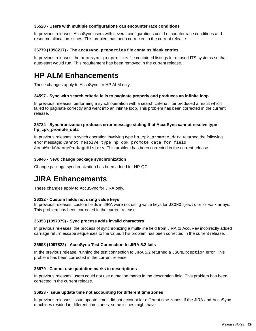#### <span id="page-28-0"></span>**36520 - Users with multiple configurations can encounter race conditions**

In previous releases, AccuSync users with several configurations could encounter race conditions and resource allocation issues. This problem has been corrected in the current release.

#### **36779 (1098217) - The accusync.properties file contains blank entries**

In previous releases, the accusync.properties file contained listings for unused ITS systems so that auto-start would run. This requirement has been removed in the current release.

### **HP ALM Enhancements**

These changes apply to AccuSync for HP ALM only.

#### **34597 - Sync with search criteria fails to paginate properly and produces an infinite loop**

In previous releases, performing a synch operation with a search criteria filter produced a result which failed to paginate correctly and went into an infinite loop. This problem has been corrected in the current release.

#### **35724 - Synchronization produces error message stating that AccuSync cannot resolve type hp\_cpk\_promote\_data**

In previous releases, a synch operation involving type hp\_cpk\_promote\_data returned the following error message: Cannot resolve type hp\_cpk\_promote\_data for field AccuWorkChangePackageHistory. This problem has been corrected in the current release.

#### **35946 - New: change package synchronization**

Change package synchronization has been added for HP-QC.

### **JIRA Enhancements**

These changes apply to AccuSync for JIRA only.

#### **36332 - Custom fields not using value keys**

In previous releases, custom fields in JIRA were not using value keys for JSONObjects or for walk arrays. This problem has been corrected in the current release.

#### **36353 (1097379) - Sync process adds invalid characters**

In previous releases, the process of synchronizing a multi-line field from JIRA to AccuRev incorrectly added carriage return escape sequences to the value. This problem has been corrected in the current release.

#### **36598 (1097822) - AccuSync Test Connection to JIRA 5.2 fails**

In the previous release, running the test connection to JIRA 5.2 returned a JSONException error. This problem has been corrected in the current release.

#### **36879 - Cannot use quotation marks in descriptions**

In previous releases, users could not use quotation marks in the description field. This problem has been corrected in the current release.

#### **36923 - Issue update time not accounting for different time zones**

In previous releases, issue update times did not account for different time zones. If the JIRA and AccuSync machines resided in different time zones, some issues might have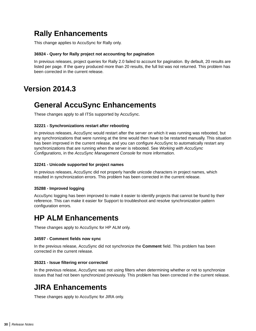# <span id="page-29-0"></span>**Rally Enhancements**

This change applies to AccuSync for Rally only.

#### **36924 - Query for Rally project not accounting for pagination**

In previous releases, project queries for Rally 2.0 failed to account for pagination. By default, 20 results are listed per page. If the query produced more than 20 results, the full list was not returned. This problem has been corrected in the current release.

### **Version 2014.3**

# **General AccuSync Enhancements**

These changes apply to all ITSs supported by AccuSync.

#### **32221 - Synchronizations restart after rebooting**

In previous releases, AccuSync would restart after the server on which it was running was rebooted, but any synchronizations that were running at the time would then have to be restarted manually. This situation has been improved in the current release, and you can configure AccuSync to automatically restart any synchronizations that are running when the server is rebooted. See *Working with AccuSync Configurations*, in the *AccuSync Management Console* for more information.

#### **32241 - Unicode supported for project names**

In previous releases, AccuSync did not properly handle unicode characters in project names, which resulted in synchronization errors. This problem has been corrected in the current release.

#### **35288 - Improved logging**

AccuSync logging has been improved to make it easier to identify projects that cannot be found by their reference. This can make it easier for Support to troubleshoot and resolve synchronization pattern configuration errors.

# **HP ALM Enhancements**

These changes apply to AccuSync for HP ALM only.

#### **34597 - Comment fields now sync**

In the previous release, AccuSync did not synchronize the **Comment** field. This problem has been corrected in the current release.

#### **35321 - Issue filtering error corrected**

In the previous release, AccuSync was not using filters when determining whether or not to synchronize issues that had not been synchronized previously. This problem has been corrected in the current release.

# **JIRA Enhancements**

These changes apply to AccuSync for JIRA only.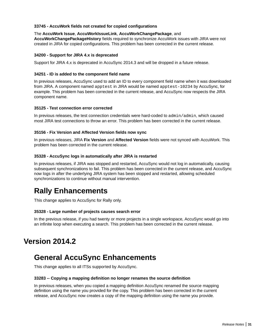#### <span id="page-30-0"></span>**33745 - AccuWork fields not created for copied configurations**

#### The **AccuWork Issue**, **AccuWorkIssueLink**, **AccuWorkChangePackage**, and

**AccuWorkChangePackageHistory** fields required to synchronize AccuWork issues with JIRA were not created in JIRA for copied configurations. This problem has been corrected in the current release.

#### **34200 - Support for JIRA 4.x is deprecated**

Support for JIRA 4.x is deprecated in AccuSync 2014.3 and will be dropped in a future release.

#### **34251 - ID is added to the component field name**

In previous releases, AccuSync used to add an ID to every component field name when it was downloaded from JIRA. A component named apptest in JIRA would be named apptest-10234 by AccuSync, for example. This problem has been corrected in the current release, and AccuSync now respects the JIRA component name.

#### **35125 - Test connection error corrected**

In previous releases, the test connection credentials were hard-coded to admin/admin, which caused most JIRA test connections to throw an error. This problem has been corrected in the current release.

#### **35156 - Fix Version and Affected Version fields now sync**

In previous releases, JIRA **Fix Version** and **Affected Version** fields were not synced with AccuWork. This problem has been corrected in the current release.

#### **35328 - AccuSync logs in automatically after JIRA is restarted**

In previous releases, if JIRA was stopped and restarted, AccuSync would not log in automatically, causing subsequent synchronizations to fail. This problem has been corrected in the current release, and AccuSync now logs in after the underlying JIRA system has been stopped and restarted, allowing scheduled synchronizations to continue without manual intervention.

# **Rally Enhancements**

This change applies to AccuSync for Rally only.

#### **35328 - Large number of projects causes search error**

In the previous release, if you had twenty or more projects in a single workspace, AccuSync would go into an infinite loop when executing a search. This problem has been corrected in the current release.

### **Version 2014.2**

### **General AccuSync Enhancements**

This change applies to all ITSs supported by AccuSync.

#### **33283 -- Copying a mapping definition no longer renames the source definition**

In previous releases, when you copied a mapping definition AccuSync renamed the source mapping definition using the name you provided for the copy. This problem has been corrected in the current release, and AccuSync now creates a copy of the mapping definition using the name you provide.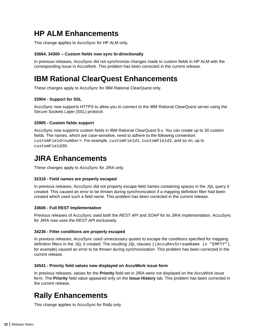# <span id="page-31-0"></span>**HP ALM Enhancements**

This change applies to AccuSync for HP ALM only.

#### **33664, 34300 -- Custom fields now sync bi-directionally**

In previous releases, AccuSync did not synchronize changes made to custom fields in HP ALM with the corresponding issue in AccuWork. This problem has been corrected in the current release.

# **IBM Rational ClearQuest Enhancements**

These changes apply to AccuSync for IBM Rational ClearQuest only.

#### **33904 - Support for SSL**

AccuSync now supports HTTPS to allow you to connect to the IBM Rational ClearQuest server using the Secure Sockets Layer (SSL) protocol.

#### **33905 - Custom fields support**

AccuSync now supports custom fields in IBM Rational ClearQuest 8.x. You can create up to 30 custom fields. The names, which are case-sensitive, need to adhere to the following convention: customField<number>. For example, customField1, customField2, and so on, up to customField30.

### **JIRA Enhancements**

These changes apply to AccuSync for JIRA only.

#### **32318 - Field names are properly escaped**

In previous releases, AccuSync did not properly escape field names containing spaces in the  $JQL$  query it created. This caused an error to be thrown during synchronization if a mapping definition filter had been created which used such a field name. This problem has been corrected in the current release.

#### **33606 - Full REST Implementation**

Previous releases of AccuSync used both the *REST API* and *SOAP* for its JIRA implementation. AccuSync for JIRA now uses the *REST API* exclusively.

#### **34236 - Filter conditions are properly escaped**

In previous releases, AccuSync used unnecessary quotes to escape the conditions specified for mapping definition filters in the JQL it created. The resulting JQL clauses ((AccuRevStreamName is "EMPTY"), for example) caused an error to be thrown during synchronization. This problem has been corrected in the current release.

#### **34541 - Priority field values now displayed on AccuWork issue form**

In previous releases, values for the **Priority** field set in JIRA were not displayed on the AccuWork issue form. The **Priority** field value appeared only on the **Issue History** tab. This problem has been corrected in the current release.

# **Rally Enhancements**

This change applies to AccuSync for Rally only.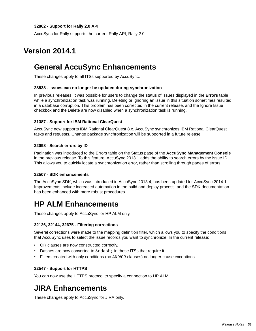#### <span id="page-32-0"></span>**32862 - Support for Rally 2.0 API**

AccuSync for Rally supports the current Rally API, Rally 2.0.

### **Version 2014.1**

# **General AccuSync Enhancements**

These changes apply to all ITSs supported by AccuSync.

#### **28838 - Issues can no longer be updated during synchronization**

In previous releases, it was possible for users to change the status of issues displayed in the **Errors** table while a synchronization task was running. Deleting or ignoring an issue in this situation sometimes resulted in a database corruption. This problem has been corrected in the current release, and the Ignore Issue checkbox and the Delete are now disabled when a synchronization task is running.

#### **31387 - Support for IBM Rational ClearQuest**

AccuSync now supports IBM Rational ClearQuest 8.x. AccuSync synchronizes IBM Rational ClearQuest tasks and requests. Change package synchronization will be supported in a future release.

#### **32098 - Search errors by ID**

Pagination was introduced to the Errors table on the Status page of the **AccuSync Management Console** in the previous release. To this feature, AccuSync 2013.1 adds the ability to search errors by the issue ID. This allows you to quickly locate a synchronization error, rather than scrolling through pages of errors.

#### **32507 - SDK enhancements**

The AccuSync SDK, which was introduced in AccuSync 2013.4, has been updated for AccuSync 2014.1. Improvements include increased automation in the build and deploy process, and the SDK documentation has been enhanced with more robust procedures.

### **HP ALM Enhancements**

These changes apply to AccuSync for HP ALM only.

#### **32126, 32144, 32675 - Filtering corrections**

Several corrections were made to the mapping definition filter, which allows you to specify the conditions that AccuSync uses to select the issue records you want to synchronize. In the current release:

- OR clauses are now constructed correctly.
- Dashes are now converted to  $\kappa$ ndash; in those ITSs that require it.
- Filters created with only conditions (no AND/OR clauses) no longer cause exceptions.

#### **32547 - Support for HTTPS**

You can now use the HTTPS protocol to specify a connection to HP ALM.

# **JIRA Enhancements**

These changes apply to AccuSync for JIRA only.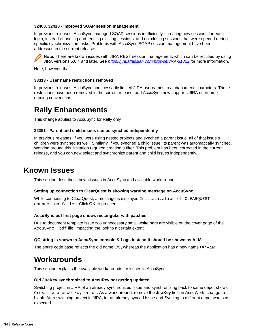#### <span id="page-33-0"></span>**32408, 32410 - Improved SOAP session management**

In previous releases, AccuSync managed SOAP sessions inefficiently - creating new sessions for each login, instead of pooling and reusing existing sessions, and not closing sessions that were opened during specific synchronization tasks. Problems with AccuSync SOAP session management have been addressed in the current release.

**Note:** There are known issues with JIRA REST session management, which can be rectified by using JIRA versions 6.0.4 and later. See *<https://jira.atlassian.com/browse/JRA-31322>* for more information.

Note, however, that

#### **33313 - User name restrictions removed**

In previous releases, AccuSync unnecessarily limited JIRA usernames to alphanumeric characters. These restrictions have been removed in the current release, and AccuSync now supports JIRA username naming conventions.

### **Rally Enhancements**

This change applies to AccuSync for Rally only.

#### **32391 - Parent and child issues can be synched independently**

In previous releases, if you were using nested projects and synched a parent issue, all of that issue's children were synched as well. Similarly, if you synched a child issue, its parent was automatically synched. Working around this limitation required creating a filter. This problem has been corrected in the current release, and you can now select and synchronize parent and child issues independently.

### **Known Issues**

This section describes known issues in AccuSync and available workaround :

#### **Setting up connection to ClearQuest is showing warning message on AccuSync**

While connecting to ClearQuest, a message is displayed Initialization of CLEARQUEST connection failed. Click **OK** to proceed.

#### **AccuSync.pdf first page shows rectangular with patches**

Due to document template issue two unnecessary small white bars are visible on the cover page of the AccuSync .pdf file, impacting the look to a certain extent.

#### **QC string is shown in AccuSync console & Logs instead it should be shown as ALM**

The entire code base reflects the old name *QC*, whereas the application has a new name *HP ALM*.

### **Workarounds**

This section explains the available workarounds for issues in AccuSync:

#### **Old JiraKey synchronized to AccuRev not getting updated**

Switching project in JIRA of an already synchronized issue and synchronizing back to same depot shows Cross reference key error. As a work around, remove the **JiraKey** field in AccuWork, change to blank. After switching project in JIRA, for an already synced Issue and Syncing to different depot works as expected.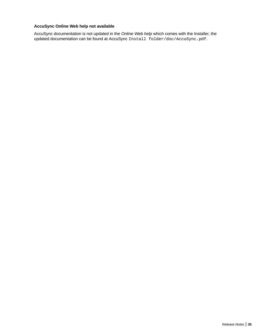#### **AccuSync Online Web help not available**

AccuSync documentation is not updated in the *Online Web help* which comes with the Installer, the updated documentation can be found at AccuSync Install folder/doc/AccuSync.pdf.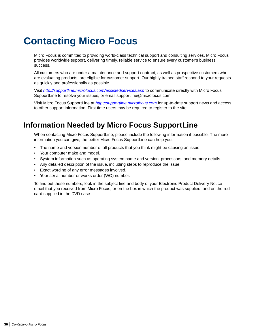# <span id="page-35-0"></span>**Contacting Micro Focus**

Micro Focus is committed to providing world-class technical support and consulting services. Micro Focus provides worldwide support, delivering timely, reliable service to ensure every customer's business success.

All customers who are under a maintenance and support contract, as well as prospective customers who are evaluating products, are eligible for customer support. Our highly trained staff respond to your requests as quickly and professionally as possible.

Visit *<http://supportline.microfocus.com/assistedservices.asp>* to communicate directly with Micro Focus SupportLine to resolve your issues, or email supportline@microfocus.com.

Visit Micro Focus SupportLine at *<http://supportline.microfocus.com>* for up-to-date support news and access to other support information. First time users may be required to register to the site.

### **Information Needed by Micro Focus SupportLine**

When contacting Micro Focus SupportLine, please include the following information if possible. The more information you can give, the better Micro Focus SupportLine can help you.

- The name and version number of all products that you think might be causing an issue.
- Your computer make and model.
- System information such as operating system name and version, processors, and memory details.
- Any detailed description of the issue, including steps to reproduce the issue.
- Exact wording of any error messages involved.
- Your serial number or works order (WO) number.

To find out these numbers, look in the subject line and body of your Electronic Product Delivery Notice email that you received from Micro Focus, or on the box in which the product was supplied, and on the red card supplied in the DVD case .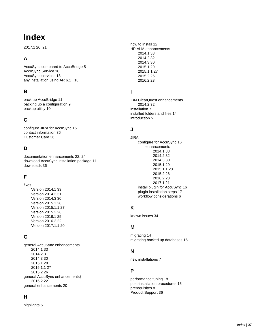# **Index**

2017.1 [20,](#page-19-0) [21](#page-20-0)

### **A**

AccuSync compared to AccuBridge [5](#page-4-0) AccuSync Service [18](#page-17-0) AccuSync services [18](#page-17-0) any installation using AR 6.1+ [16](#page-15-0)

### **B**

back up AccuBridge [11](#page-10-0) backing up a configuration [9](#page-8-0) backup utility [10](#page-9-0)

### **C**

configure JIRA for AccuSync [16](#page-15-0) contact information [36](#page-35-0) Customer Care [36](#page-35-0)

### **D**

documentation enhancements [22,](#page-21-0) [24](#page-23-0) download AccuSync installation package [11](#page-10-0) downloads [36](#page-35-0)

### **F**

fixes Version 2014.1 [33](#page-32-0) Version 2014.2 [31](#page-30-0) Version 2014.3 [30](#page-29-0) Version 2015.1 [28](#page-27-0) Version 2015.1.1 [27](#page-26-0) Version 2015.2 [26](#page-25-0) Version 2016.1 [25](#page-24-0) Version 2016.2 [22](#page-21-0) Version 2017.1.1 [20](#page-19-0)

### **G**

general AccuSync enhancements 2014.1 [33](#page-32-0) 2014.2 [31](#page-30-0) 2014.3 [30](#page-29-0) 2015.1 [28](#page-27-0) 2015.1.1 [27](#page-26-0) 2015.2 [26](#page-25-0) general AccuSync enhancements} 2016.2 [22](#page-21-0) general enhancements [20](#page-19-0)

### **H**

highlights [5](#page-4-0)

how to install [12](#page-11-0) HP ALM enhancements 2014.1 [33](#page-32-0) 2014.2 [32](#page-31-0) 2014.3 [30](#page-29-0) 2015.1 [29](#page-28-0) 2015.1.1 [27](#page-26-0) 2015.2 [26](#page-25-0) 2016.2 [23](#page-22-0)

### **I**

IBM ClearQuest enhancements 2014.2 [32](#page-31-0) installation [7](#page-6-0) installed folders and files [14](#page-13-0) introduction [5](#page-4-0)

### **J**

JIRA configure for AccuSync [16](#page-15-0) enhancements 2014.1 [33](#page-32-0) 2014.2 [32](#page-31-0) 2014.3 [30](#page-29-0) 2015.1 [29](#page-28-0) 2015.1.1 [28](#page-27-0) 2015.2 [26](#page-25-0) 2016.2 [23](#page-22-0) 2017.1 [21](#page-20-0) install plugin for AccuSync [16](#page-15-0) plugin installation steps [17](#page-16-0) workflow considerations [6](#page-5-0)

### **K**

known issues [34](#page-33-0)

### **M**

migrating [14](#page-13-0) migrating backed up databases [16](#page-15-0)

### **N**

new installations [7](#page-6-0)

### **P**

performance tuning [18](#page-17-0) post-installation procedures [15](#page-14-0) prerequisites [8](#page-7-0) Product Support [36](#page-35-0)